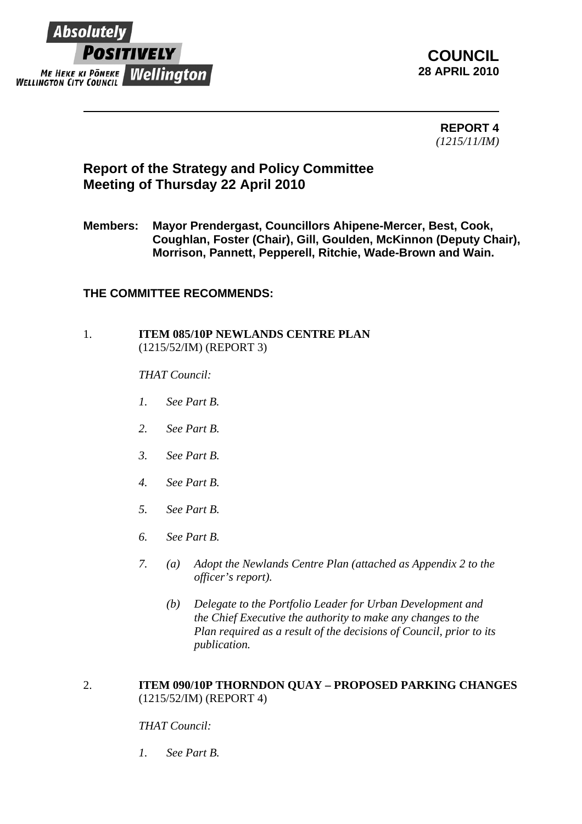

**COUNCIL 28 APRIL 2010**

> **REPORT 4**  *(1215/11/IM)*

# **Report of the Strategy and Policy Committee Meeting of Thursday 22 April 2010**

**Members: Mayor Prendergast, Councillors Ahipene-Mercer, Best, Cook, Coughlan, Foster (Chair), Gill, Goulden, McKinnon (Deputy Chair), Morrison, Pannett, Pepperell, Ritchie, Wade-Brown and Wain.** 

## **THE COMMITTEE RECOMMENDS:**

#### 1. **ITEM 085/10P NEWLANDS CENTRE PLAN**  (1215/52/IM) (REPORT 3)

#### *THAT Council:*

- *1. See Part B.*
- *2. See Part B.*
- *3. See Part B.*
- *4. See Part B.*
- *5. See Part B.*
- *6. See Part B.*
- *7. (a) Adopt the Newlands Centre Plan (attached as Appendix 2 to the officer's report).* 
	- *(b) Delegate to the Portfolio Leader for Urban Development and the Chief Executive the authority to make any changes to the Plan required as a result of the decisions of Council, prior to its publication.*

#### 2. **ITEM 090/10P THORNDON QUAY – PROPOSED PARKING CHANGES**  (1215/52/IM) (REPORT 4)

### *THAT Council:*

*1. See Part B.*